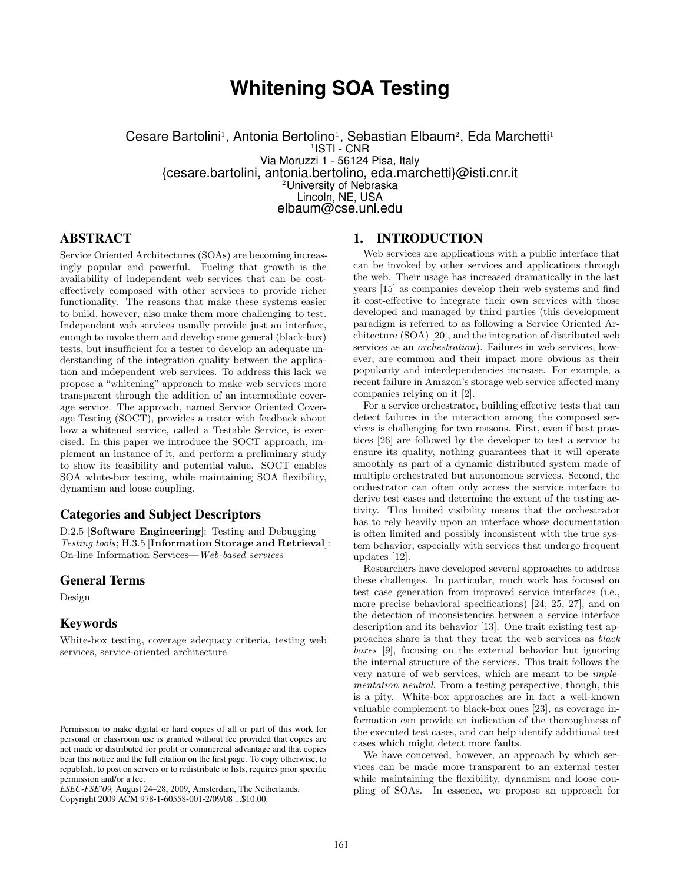# **Whitening SOA Testing**

Cesare Bartolini<sup>1</sup>, Antonia Bertolino<sup>1</sup>, Sebastian Elbaum<sup>2</sup>, Eda Marchetti<sup>1</sup> <sup>1</sup>ISTI - CNR Via Moruzzi 1 - 56124 Pisa, Italy {cesare.bartolini, antonia.bertolino, eda.marchetti}@isti.cnr.it <sup>2</sup>University of Nebraska Lincoln, NE, USA elbaum@cse.unl.edu

## ABSTRACT

Service Oriented Architectures (SOAs) are becoming increasingly popular and powerful. Fueling that growth is the availability of independent web services that can be costeffectively composed with other services to provide richer functionality. The reasons that make these systems easier to build, however, also make them more challenging to test. Independent web services usually provide just an interface, enough to invoke them and develop some general (black-box) tests, but insufficient for a tester to develop an adequate understanding of the integration quality between the application and independent web services. To address this lack we propose a "whitening" approach to make web services more transparent through the addition of an intermediate coverage service. The approach, named Service Oriented Coverage Testing (SOCT), provides a tester with feedback about how a whitened service, called a Testable Service, is exercised. In this paper we introduce the SOCT approach, implement an instance of it, and perform a preliminary study to show its feasibility and potential value. SOCT enables SOA white-box testing, while maintaining SOA flexibility, dynamism and loose coupling.

## Categories and Subject Descriptors

D.2.5 [Software Engineering]: Testing and Debugging— Testing tools; H.3.5 [Information Storage and Retrieval]: On-line Information Services—Web-based services

#### General Terms

Design

#### Keywords

White-box testing, coverage adequacy criteria, testing web services, service-oriented architecture

*ESEC-FSE'09,* August 24–28, 2009, Amsterdam, The Netherlands.

Copyright 2009 ACM 978-1-60558-001-2/09/08 ...\$10.00.

# 1. INTRODUCTION

Web services are applications with a public interface that can be invoked by other services and applications through the web. Their usage has increased dramatically in the last years [15] as companies develop their web systems and find it cost-effective to integrate their own services with those developed and managed by third parties (this development paradigm is referred to as following a Service Oriented Architecture (SOA) [20], and the integration of distributed web services as an *orchestration*). Failures in web services, however, are common and their impact more obvious as their popularity and interdependencies increase. For example, a recent failure in Amazon's storage web service affected many companies relying on it [2].

For a service orchestrator, building effective tests that can detect failures in the interaction among the composed services is challenging for two reasons. First, even if best practices [26] are followed by the developer to test a service to ensure its quality, nothing guarantees that it will operate smoothly as part of a dynamic distributed system made of multiple orchestrated but autonomous services. Second, the orchestrator can often only access the service interface to derive test cases and determine the extent of the testing activity. This limited visibility means that the orchestrator has to rely heavily upon an interface whose documentation is often limited and possibly inconsistent with the true system behavior, especially with services that undergo frequent updates [12].

Researchers have developed several approaches to address these challenges. In particular, much work has focused on test case generation from improved service interfaces (i.e., more precise behavioral specifications) [24, 25, 27], and on the detection of inconsistencies between a service interface description and its behavior [13]. One trait existing test approaches share is that they treat the web services as black boxes [9], focusing on the external behavior but ignoring the internal structure of the services. This trait follows the very nature of web services, which are meant to be implementation neutral. From a testing perspective, though, this is a pity. White-box approaches are in fact a well-known valuable complement to black-box ones [23], as coverage information can provide an indication of the thoroughness of the executed test cases, and can help identify additional test cases which might detect more faults.

We have conceived, however, an approach by which services can be made more transparent to an external tester while maintaining the flexibility, dynamism and loose coupling of SOAs. In essence, we propose an approach for

Permission to make digital or hard copies of all or part of this work for personal or classroom use is granted without fee provided that copies are not made or distributed for profit or commercial advantage and that copies bear this notice and the full citation on the first page. To copy otherwise, to republish, to post on servers or to redistribute to lists, requires prior specific permission and/or a fee.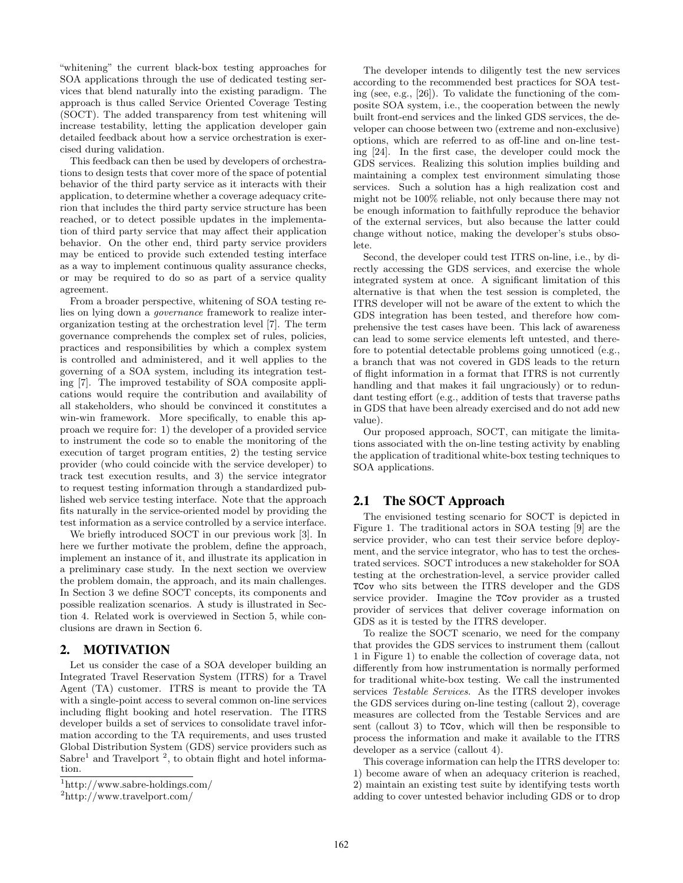"whitening" the current black-box testing approaches for SOA applications through the use of dedicated testing services that blend naturally into the existing paradigm. The approach is thus called Service Oriented Coverage Testing (SOCT). The added transparency from test whitening will increase testability, letting the application developer gain detailed feedback about how a service orchestration is exercised during validation.

This feedback can then be used by developers of orchestrations to design tests that cover more of the space of potential behavior of the third party service as it interacts with their application, to determine whether a coverage adequacy criterion that includes the third party service structure has been reached, or to detect possible updates in the implementation of third party service that may affect their application behavior. On the other end, third party service providers may be enticed to provide such extended testing interface as a way to implement continuous quality assurance checks, or may be required to do so as part of a service quality agreement.

From a broader perspective, whitening of SOA testing relies on lying down a governance framework to realize interorganization testing at the orchestration level [7]. The term governance comprehends the complex set of rules, policies, practices and responsibilities by which a complex system is controlled and administered, and it well applies to the governing of a SOA system, including its integration testing [7]. The improved testability of SOA composite applications would require the contribution and availability of all stakeholders, who should be convinced it constitutes a win-win framework. More specifically, to enable this approach we require for: 1) the developer of a provided service to instrument the code so to enable the monitoring of the execution of target program entities, 2) the testing service provider (who could coincide with the service developer) to track test execution results, and 3) the service integrator to request testing information through a standardized published web service testing interface. Note that the approach fits naturally in the service-oriented model by providing the test information as a service controlled by a service interface.

We briefly introduced SOCT in our previous work [3]. In here we further motivate the problem, define the approach, implement an instance of it, and illustrate its application in a preliminary case study. In the next section we overview the problem domain, the approach, and its main challenges. In Section 3 we define SOCT concepts, its components and possible realization scenarios. A study is illustrated in Section 4. Related work is overviewed in Section 5, while conclusions are drawn in Section 6.

## 2. MOTIVATION

Let us consider the case of a SOA developer building an Integrated Travel Reservation System (ITRS) for a Travel Agent (TA) customer. ITRS is meant to provide the TA with a single-point access to several common on-line services including flight booking and hotel reservation. The ITRS developer builds a set of services to consolidate travel information according to the TA requirements, and uses trusted Global Distribution System (GDS) service providers such as  $Sabre<sup>1</sup>$  and Travelport<sup>2</sup>, to obtain flight and hotel information.

The developer intends to diligently test the new services according to the recommended best practices for SOA testing (see, e.g., [26]). To validate the functioning of the composite SOA system, i.e., the cooperation between the newly built front-end services and the linked GDS services, the developer can choose between two (extreme and non-exclusive) options, which are referred to as off-line and on-line testing [24]. In the first case, the developer could mock the GDS services. Realizing this solution implies building and maintaining a complex test environment simulating those services. Such a solution has a high realization cost and might not be 100% reliable, not only because there may not be enough information to faithfully reproduce the behavior of the external services, but also because the latter could change without notice, making the developer's stubs obsolete.

Second, the developer could test ITRS on-line, i.e., by directly accessing the GDS services, and exercise the whole integrated system at once. A significant limitation of this alternative is that when the test session is completed, the ITRS developer will not be aware of the extent to which the GDS integration has been tested, and therefore how comprehensive the test cases have been. This lack of awareness can lead to some service elements left untested, and therefore to potential detectable problems going unnoticed (e.g., a branch that was not covered in GDS leads to the return of flight information in a format that ITRS is not currently handling and that makes it fail ungraciously) or to redundant testing effort (e.g., addition of tests that traverse paths in GDS that have been already exercised and do not add new value).

Our proposed approach, SOCT, can mitigate the limitations associated with the on-line testing activity by enabling the application of traditional white-box testing techniques to SOA applications.

# 2.1 The SOCT Approach

The envisioned testing scenario for SOCT is depicted in Figure 1. The traditional actors in SOA testing [9] are the service provider, who can test their service before deployment, and the service integrator, who has to test the orchestrated services. SOCT introduces a new stakeholder for SOA testing at the orchestration-level, a service provider called TCov who sits between the ITRS developer and the GDS service provider. Imagine the TCov provider as a trusted provider of services that deliver coverage information on GDS as it is tested by the ITRS developer.

To realize the SOCT scenario, we need for the company that provides the GDS services to instrument them (callout 1 in Figure 1) to enable the collection of coverage data, not differently from how instrumentation is normally performed for traditional white-box testing. We call the instrumented services Testable Services. As the ITRS developer invokes the GDS services during on-line testing (callout 2), coverage measures are collected from the Testable Services and are sent (callout 3) to TCov, which will then be responsible to process the information and make it available to the ITRS developer as a service (callout 4).

This coverage information can help the ITRS developer to: 1) become aware of when an adequacy criterion is reached, 2) maintain an existing test suite by identifying tests worth adding to cover untested behavior including GDS or to drop

<sup>1</sup>http://www.sabre-holdings.com/

<sup>2</sup>http://www.travelport.com/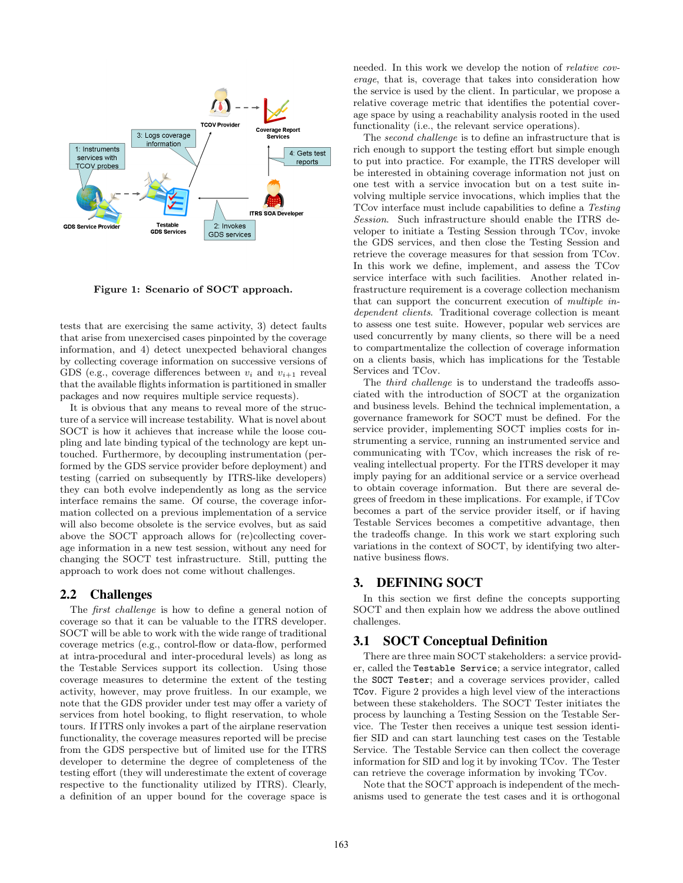

Figure 1: Scenario of SOCT approach.

tests that are exercising the same activity, 3) detect faults that arise from unexercised cases pinpointed by the coverage information, and 4) detect unexpected behavioral changes by collecting coverage information on successive versions of GDS (e.g., coverage differences between  $v_i$  and  $v_{i+1}$  reveal that the available flights information is partitioned in smaller packages and now requires multiple service requests).

It is obvious that any means to reveal more of the structure of a service will increase testability. What is novel about SOCT is how it achieves that increase while the loose coupling and late binding typical of the technology are kept untouched. Furthermore, by decoupling instrumentation (performed by the GDS service provider before deployment) and testing (carried on subsequently by ITRS-like developers) they can both evolve independently as long as the service interface remains the same. Of course, the coverage information collected on a previous implementation of a service will also become obsolete is the service evolves, but as said above the SOCT approach allows for (re)collecting coverage information in a new test session, without any need for changing the SOCT test infrastructure. Still, putting the approach to work does not come without challenges.

## 2.2 Challenges

The first challenge is how to define a general notion of coverage so that it can be valuable to the ITRS developer. SOCT will be able to work with the wide range of traditional coverage metrics (e.g., control-flow or data-flow, performed at intra-procedural and inter-procedural levels) as long as the Testable Services support its collection. Using those coverage measures to determine the extent of the testing activity, however, may prove fruitless. In our example, we note that the GDS provider under test may offer a variety of services from hotel booking, to flight reservation, to whole tours. If ITRS only invokes a part of the airplane reservation functionality, the coverage measures reported will be precise from the GDS perspective but of limited use for the ITRS developer to determine the degree of completeness of the testing effort (they will underestimate the extent of coverage respective to the functionality utilized by ITRS). Clearly, a definition of an upper bound for the coverage space is

needed. In this work we develop the notion of relative coverage, that is, coverage that takes into consideration how the service is used by the client. In particular, we propose a relative coverage metric that identifies the potential coverage space by using a reachability analysis rooted in the used functionality (i.e., the relevant service operations).

The second challenge is to define an infrastructure that is rich enough to support the testing effort but simple enough to put into practice. For example, the ITRS developer will be interested in obtaining coverage information not just on one test with a service invocation but on a test suite involving multiple service invocations, which implies that the TCov interface must include capabilities to define a Testing Session. Such infrastructure should enable the ITRS developer to initiate a Testing Session through TCov, invoke the GDS services, and then close the Testing Session and retrieve the coverage measures for that session from TCov. In this work we define, implement, and assess the TCov service interface with such facilities. Another related infrastructure requirement is a coverage collection mechanism that can support the concurrent execution of multiple independent clients. Traditional coverage collection is meant to assess one test suite. However, popular web services are used concurrently by many clients, so there will be a need to compartmentalize the collection of coverage information on a clients basis, which has implications for the Testable Services and TCov.

The *third challenge* is to understand the tradeoffs associated with the introduction of SOCT at the organization and business levels. Behind the technical implementation, a governance framework for SOCT must be defined. For the service provider, implementing SOCT implies costs for instrumenting a service, running an instrumented service and communicating with TCov, which increases the risk of revealing intellectual property. For the ITRS developer it may imply paying for an additional service or a service overhead to obtain coverage information. But there are several degrees of freedom in these implications. For example, if TCov becomes a part of the service provider itself, or if having Testable Services becomes a competitive advantage, then the tradeoffs change. In this work we start exploring such variations in the context of SOCT, by identifying two alternative business flows.

## 3. DEFINING SOCT

In this section we first define the concepts supporting SOCT and then explain how we address the above outlined challenges.

## 3.1 SOCT Conceptual Definition

There are three main SOCT stakeholders: a service provider, called the Testable Service; a service integrator, called the SOCT Tester; and a coverage services provider, called TCov. Figure 2 provides a high level view of the interactions between these stakeholders. The SOCT Tester initiates the process by launching a Testing Session on the Testable Service. The Tester then receives a unique test session identifier SID and can start launching test cases on the Testable Service. The Testable Service can then collect the coverage information for SID and log it by invoking TCov. The Tester can retrieve the coverage information by invoking TCov.

Note that the SOCT approach is independent of the mechanisms used to generate the test cases and it is orthogonal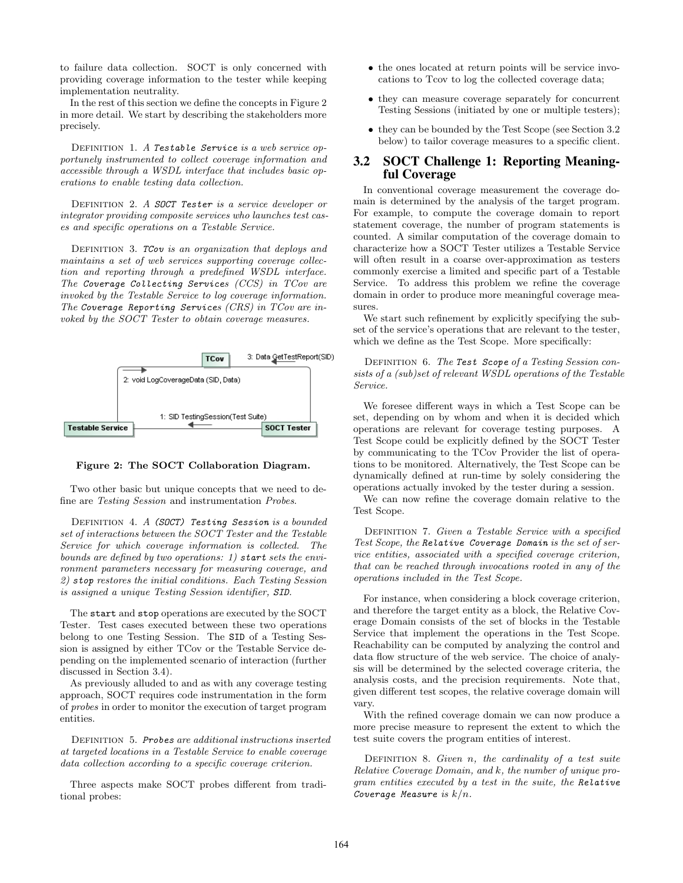to failure data collection. SOCT is only concerned with providing coverage information to the tester while keeping implementation neutrality.

In the rest of this section we define the concepts in Figure 2 in more detail. We start by describing the stakeholders more precisely.

DEFINITION 1. A Testable Service is a web service opportunely instrumented to collect coverage information and accessible through a WSDL interface that includes basic operations to enable testing data collection.

DEFINITION 2. A SOCT Tester is a service developer or integrator providing composite services who launches test cases and specific operations on a Testable Service.

DEFINITION 3. TCov is an organization that deploys and maintains a set of web services supporting coverage collection and reporting through a predefined WSDL interface. The Coverage Collecting Services  $(CCS)$  in  $TCov$  are invoked by the Testable Service to log coverage information. The Coverage Reporting Services (CRS) in TCov are invoked by the SOCT Tester to obtain coverage measures.





Two other basic but unique concepts that we need to define are Testing Session and instrumentation Probes.

DEFINITION 4.  $A$  (SOCT) Testing Session is a bounded set of interactions between the SOCT Tester and the Testable Service for which coverage information is collected. The bounds are defined by two operations: 1) start sets the environment parameters necessary for measuring coverage, and 2) stop restores the initial conditions. Each Testing Session is assigned a unique Testing Session identifier, SID.

The start and stop operations are executed by the SOCT Tester. Test cases executed between these two operations belong to one Testing Session. The SID of a Testing Session is assigned by either TCov or the Testable Service depending on the implemented scenario of interaction (further discussed in Section 3.4).

As previously alluded to and as with any coverage testing approach, SOCT requires code instrumentation in the form of probes in order to monitor the execution of target program entities.

DEFINITION 5. Probes are additional instructions inserted at targeted locations in a Testable Service to enable coverage data collection according to a specific coverage criterion.

Three aspects make SOCT probes different from traditional probes:

- the ones located at return points will be service invocations to Tcov to log the collected coverage data;
- they can measure coverage separately for concurrent Testing Sessions (initiated by one or multiple testers);
- they can be bounded by the Test Scope (see Section 3.2 below) to tailor coverage measures to a specific client.

#### 3.2 SOCT Challenge 1: Reporting Meaningful Coverage

In conventional coverage measurement the coverage domain is determined by the analysis of the target program. For example, to compute the coverage domain to report statement coverage, the number of program statements is counted. A similar computation of the coverage domain to characterize how a SOCT Tester utilizes a Testable Service will often result in a coarse over-approximation as testers commonly exercise a limited and specific part of a Testable Service. To address this problem we refine the coverage domain in order to produce more meaningful coverage measures.

We start such refinement by explicitly specifying the subset of the service's operations that are relevant to the tester, which we define as the Test Scope. More specifically:

DEFINITION 6. The Test Scope of a Testing Session consists of a (sub)set of relevant WSDL operations of the Testable Service.

We foresee different ways in which a Test Scope can be set, depending on by whom and when it is decided which operations are relevant for coverage testing purposes. A Test Scope could be explicitly defined by the SOCT Tester by communicating to the TCov Provider the list of operations to be monitored. Alternatively, the Test Scope can be dynamically defined at run-time by solely considering the operations actually invoked by the tester during a session.

We can now refine the coverage domain relative to the Test Scope.

DEFINITION 7. Given a Testable Service with a specified Test Scope, the Relative Coverage Domain is the set of service entities, associated with a specified coverage criterion, that can be reached through invocations rooted in any of the operations included in the Test Scope.

For instance, when considering a block coverage criterion, and therefore the target entity as a block, the Relative Coverage Domain consists of the set of blocks in the Testable Service that implement the operations in the Test Scope. Reachability can be computed by analyzing the control and data flow structure of the web service. The choice of analysis will be determined by the selected coverage criteria, the analysis costs, and the precision requirements. Note that, given different test scopes, the relative coverage domain will vary.

With the refined coverage domain we can now produce a more precise measure to represent the extent to which the test suite covers the program entities of interest.

DEFINITION 8. Given  $n$ , the cardinality of a test suite Relative Coverage Domain, and k, the number of unique program entities executed by a test in the suite, the Relative Coverage Measure is  $k/n$ .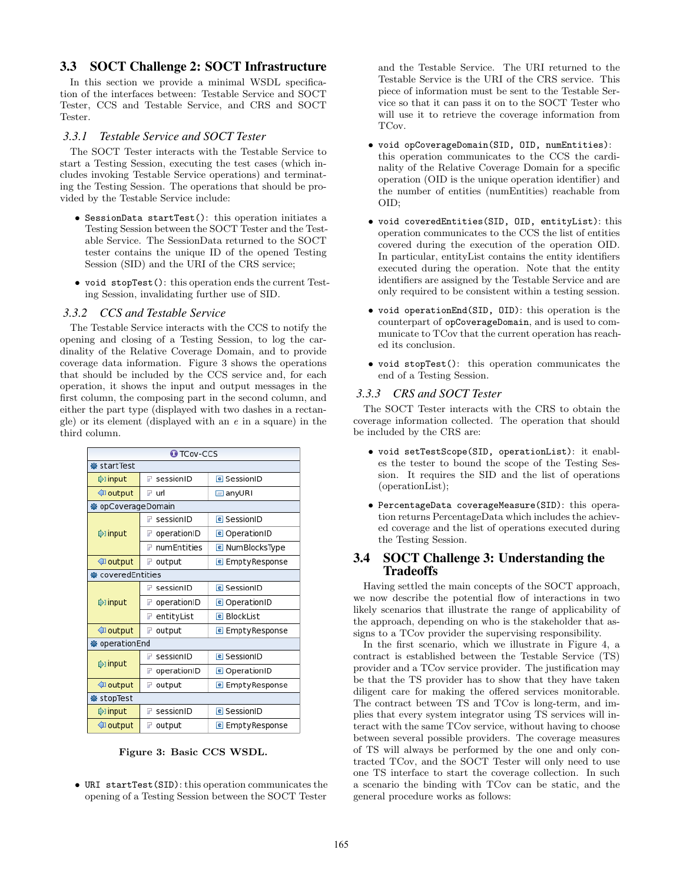## 3.3 SOCT Challenge 2: SOCT Infrastructure

In this section we provide a minimal WSDL specification of the interfaces between: Testable Service and SOCT Tester, CCS and Testable Service, and CRS and SOCT Tester.

#### *3.3.1 Testable Service and SOCT Tester*

The SOCT Tester interacts with the Testable Service to start a Testing Session, executing the test cases (which includes invoking Testable Service operations) and terminating the Testing Session. The operations that should be provided by the Testable Service include:

- SessionData startTest(): this operation initiates a Testing Session between the SOCT Tester and the Testable Service. The SessionData returned to the SOCT tester contains the unique ID of the opened Testing Session (SID) and the URI of the CRS service;
- void stopTest(): this operation ends the current Testing Session, invalidating further use of SID.

#### *3.3.2 CCS and Testable Service*

The Testable Service interacts with the CCS to notify the opening and closing of a Testing Session, to log the cardinality of the Relative Coverage Domain, and to provide coverage data information. Figure 3 shows the operations that should be included by the CCS service and, for each operation, it shows the input and output messages in the first column, the composing part in the second column, and either the part type (displayed with two dashes in a rectangle) or its element (displayed with an e in a square) in the third column.

| <b>O</b> TCov-CCS  |                                       |                        |  |  |
|--------------------|---------------------------------------|------------------------|--|--|
| ※ startTest        |                                       |                        |  |  |
| tinput⊜            | $\mathbb F$ sessionID                 | <b>e</b> SessionID     |  |  |
| ∜] output          | $\mathbb F$ url                       | $\Box$ anyURI          |  |  |
| ※ opCoverageDomain |                                       |                        |  |  |
|                    | sessionID<br>F                        | <b>e</b> SessionID     |  |  |
| tinput⊅            | operationID<br>F                      | <b>e</b> OperationID   |  |  |
|                    | numEntities<br>F                      | <b>e</b> NumBlocksType |  |  |
| <b>J</b> output    | r<br>output<br><b>e</b> EmptyResponse |                        |  |  |
| ※ coveredEntities  |                                       |                        |  |  |
| tinput⊅            | sessionID<br>$\mathbb{R}^n$           | <b>e</b> SessionID     |  |  |
|                    | operationID<br>F                      | <b>e</b> OperationID   |  |  |
|                    | entityList<br>₽                       | <b>e</b> BlockList     |  |  |
| <b>I</b> output    | F<br>output                           | <b>e</b> EmptyResponse |  |  |
| ※ operationEnd     |                                       |                        |  |  |
| t)input            | sessionID<br>F                        | <b>e</b> SessionID     |  |  |
|                    | operationID<br>F                      | <b>e</b> OperationID   |  |  |
| ∜] output          | output<br>☞                           | <b>e</b> EmptyResponse |  |  |
| ※ stopTest         |                                       |                        |  |  |
| input              | $F$ sessionID                         | <b>e</b> SessionID     |  |  |
| ∜] output          | output<br>$\mathbf{r}$                | <b>e</b> EmptyResponse |  |  |

Figure 3: Basic CCS WSDL.

• URI startTest(SID): this operation communicates the opening of a Testing Session between the SOCT Tester and the Testable Service. The URI returned to the Testable Service is the URI of the CRS service. This piece of information must be sent to the Testable Service so that it can pass it on to the SOCT Tester who will use it to retrieve the coverage information from TCov.

- void opCoverageDomain(SID, OID, numEntities): this operation communicates to the CCS the cardinality of the Relative Coverage Domain for a specific operation (OID is the unique operation identifier) and the number of entities (numEntities) reachable from OID;
- void coveredEntities(SID, OID, entityList): this operation communicates to the CCS the list of entities covered during the execution of the operation OID. In particular, entityList contains the entity identifiers executed during the operation. Note that the entity identifiers are assigned by the Testable Service and are only required to be consistent within a testing session.
- void operationEnd(SID, OID): this operation is the counterpart of opCoverageDomain, and is used to communicate to TCov that the current operation has reached its conclusion.
- void stopTest(): this operation communicates the end of a Testing Session.

#### *3.3.3 CRS and SOCT Tester*

The SOCT Tester interacts with the CRS to obtain the coverage information collected. The operation that should be included by the CRS are:

- void setTestScope(SID, operationList): it enables the tester to bound the scope of the Testing Session. It requires the SID and the list of operations (operationList);
- PercentageData coverageMeasure(SID): this operation returns PercentageData which includes the achieved coverage and the list of operations executed during the Testing Session.

## 3.4 SOCT Challenge 3: Understanding the **Tradeoffs**

Having settled the main concepts of the SOCT approach, we now describe the potential flow of interactions in two likely scenarios that illustrate the range of applicability of the approach, depending on who is the stakeholder that assigns to a TCov provider the supervising responsibility.

In the first scenario, which we illustrate in Figure 4, a contract is established between the Testable Service (TS) provider and a TCov service provider. The justification may be that the TS provider has to show that they have taken diligent care for making the offered services monitorable. The contract between TS and TCov is long-term, and implies that every system integrator using TS services will interact with the same TCov service, without having to choose between several possible providers. The coverage measures of TS will always be performed by the one and only contracted TCov, and the SOCT Tester will only need to use one TS interface to start the coverage collection. In such a scenario the binding with TCov can be static, and the general procedure works as follows: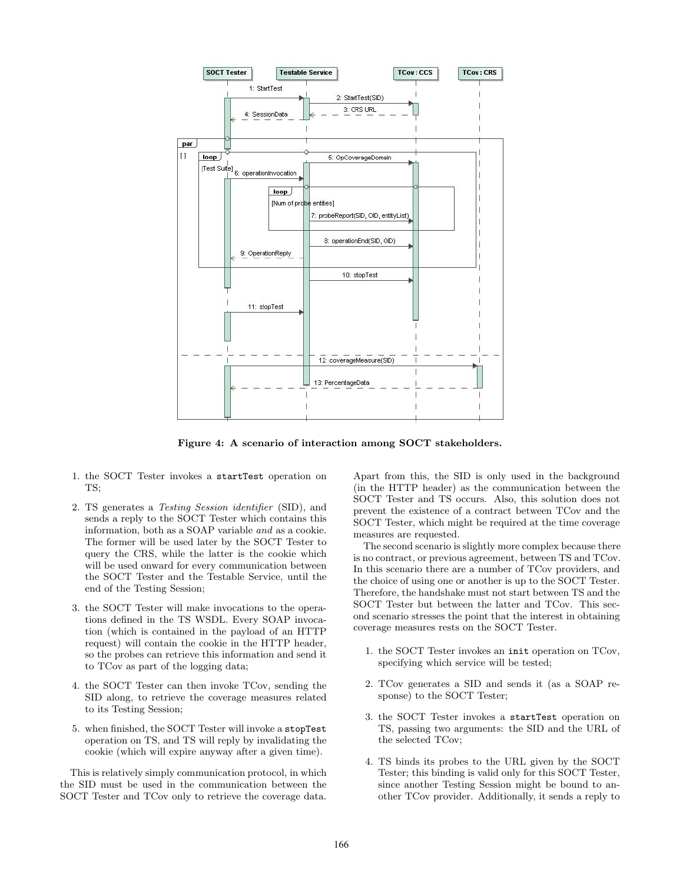

Figure 4: A scenario of interaction among SOCT stakeholders.

- 1. the SOCT Tester invokes a startTest operation on TS.
- 2. TS generates a Testing Session identifier (SID), and sends a reply to the SOCT Tester which contains this information, both as a SOAP variable and as a cookie. The former will be used later by the SOCT Tester to query the CRS, while the latter is the cookie which will be used onward for every communication between the SOCT Tester and the Testable Service, until the end of the Testing Session;
- 3. the SOCT Tester will make invocations to the operations defined in the TS WSDL. Every SOAP invocation (which is contained in the payload of an HTTP request) will contain the cookie in the HTTP header, so the probes can retrieve this information and send it to TCov as part of the logging data;
- 4. the SOCT Tester can then invoke TCov, sending the SID along, to retrieve the coverage measures related to its Testing Session;
- 5. when finished, the SOCT Tester will invoke a stopTest operation on TS, and TS will reply by invalidating the cookie (which will expire anyway after a given time).

This is relatively simply communication protocol, in which the SID must be used in the communication between the SOCT Tester and TCov only to retrieve the coverage data.

Apart from this, the SID is only used in the background (in the HTTP header) as the communication between the SOCT Tester and TS occurs. Also, this solution does not prevent the existence of a contract between TCov and the SOCT Tester, which might be required at the time coverage measures are requested.

The second scenario is slightly more complex because there is no contract, or previous agreement, between TS and TCov. In this scenario there are a number of TCov providers, and the choice of using one or another is up to the SOCT Tester. Therefore, the handshake must not start between TS and the SOCT Tester but between the latter and TCov. This second scenario stresses the point that the interest in obtaining coverage measures rests on the SOCT Tester.

- 1. the SOCT Tester invokes an init operation on TCov, specifying which service will be tested;
- 2. TCov generates a SID and sends it (as a SOAP response) to the SOCT Tester;
- 3. the SOCT Tester invokes a startTest operation on TS, passing two arguments: the SID and the URL of the selected TCov;
- 4. TS binds its probes to the URL given by the SOCT Tester; this binding is valid only for this SOCT Tester, since another Testing Session might be bound to another TCov provider. Additionally, it sends a reply to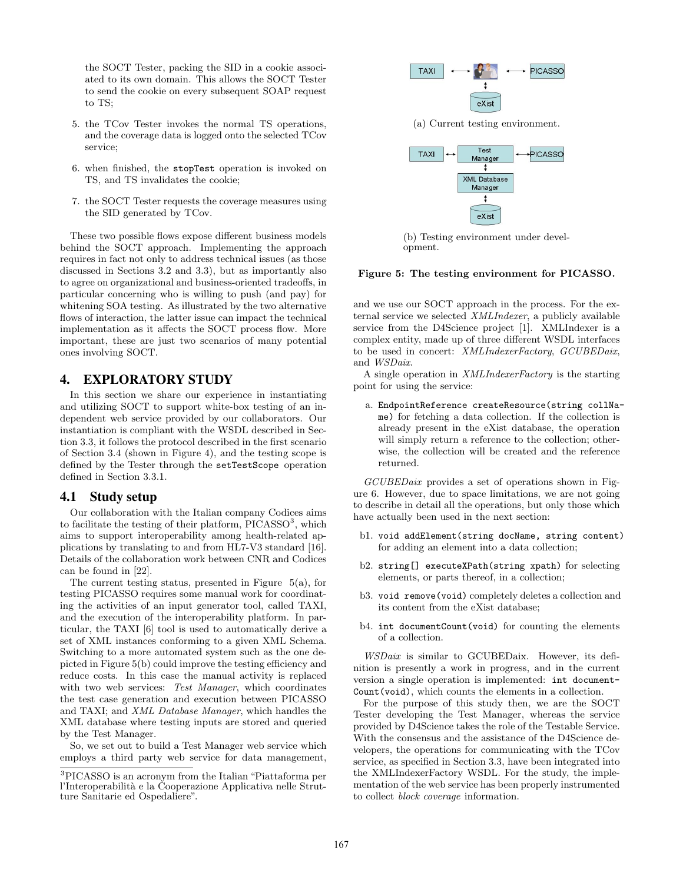the SOCT Tester, packing the SID in a cookie associated to its own domain. This allows the SOCT Tester to send the cookie on every subsequent SOAP request to TS;

- 5. the TCov Tester invokes the normal TS operations, and the coverage data is logged onto the selected TCov service;
- 6. when finished, the stopTest operation is invoked on TS, and TS invalidates the cookie;
- 7. the SOCT Tester requests the coverage measures using the SID generated by TCov.

These two possible flows expose different business models behind the SOCT approach. Implementing the approach requires in fact not only to address technical issues (as those discussed in Sections 3.2 and 3.3), but as importantly also to agree on organizational and business-oriented tradeoffs, in particular concerning who is willing to push (and pay) for whitening SOA testing. As illustrated by the two alternative flows of interaction, the latter issue can impact the technical implementation as it affects the SOCT process flow. More important, these are just two scenarios of many potential ones involving SOCT.

## 4. EXPLORATORY STUDY

In this section we share our experience in instantiating and utilizing SOCT to support white-box testing of an independent web service provided by our collaborators. Our instantiation is compliant with the WSDL described in Section 3.3, it follows the protocol described in the first scenario of Section 3.4 (shown in Figure 4), and the testing scope is defined by the Tester through the setTestScope operation defined in Section 3.3.1.

### 4.1 Study setup

Our collaboration with the Italian company Codices aims to facilitate the testing of their platform,  $PICASSO<sup>3</sup>$ , which aims to support interoperability among health-related applications by translating to and from HL7-V3 standard [16]. Details of the collaboration work between CNR and Codices can be found in [22].

The current testing status, presented in Figure 5(a), for testing PICASSO requires some manual work for coordinating the activities of an input generator tool, called TAXI, and the execution of the interoperability platform. In particular, the TAXI [6] tool is used to automatically derive a set of XML instances conforming to a given XML Schema. Switching to a more automated system such as the one depicted in Figure 5(b) could improve the testing efficiency and reduce costs. In this case the manual activity is replaced with two web services: Test Manager, which coordinates the test case generation and execution between PICASSO and TAXI; and XML Database Manager, which handles the XML database where testing inputs are stored and queried by the Test Manager.

So, we set out to build a Test Manager web service which employs a third party web service for data management,



(a) Current testing environment.



(b) Testing environment under development.

#### Figure 5: The testing environment for PICASSO.

and we use our SOCT approach in the process. For the external service we selected XMLIndexer, a publicly available service from the D4Science project [1]. XMLIndexer is a complex entity, made up of three different WSDL interfaces to be used in concert: XMLIndexerFactory, GCUBEDaix, and WSDaix.

A single operation in XMLIndexerFactory is the starting point for using the service:

a. EndpointReference createResource(string collName) for fetching a data collection. If the collection is already present in the eXist database, the operation will simply return a reference to the collection; otherwise, the collection will be created and the reference returned.

GCUBEDaix provides a set of operations shown in Figure 6. However, due to space limitations, we are not going to describe in detail all the operations, but only those which have actually been used in the next section:

- b1. void addElement(string docName, string content) for adding an element into a data collection;
- b2. string[] executeXPath(string xpath) for selecting elements, or parts thereof, in a collection;
- b3. void remove(void) completely deletes a collection and its content from the eXist database;
- b4. int documentCount(void) for counting the elements of a collection.

WSDaix is similar to GCUBEDaix. However, its definition is presently a work in progress, and in the current version a single operation is implemented: int document-Count(void), which counts the elements in a collection.

For the purpose of this study then, we are the SOCT Tester developing the Test Manager, whereas the service provided by D4Science takes the role of the Testable Service. With the consensus and the assistance of the D4Science developers, the operations for communicating with the TCov service, as specified in Section 3.3, have been integrated into the XMLIndexerFactory WSDL. For the study, the implementation of the web service has been properly instrumented to collect block coverage information.

<sup>3</sup>PICASSO is an acronym from the Italian "Piattaforma per l'Interoperabilità e la Cooperazione Applicativa nelle Strutture Sanitarie ed Ospedaliere".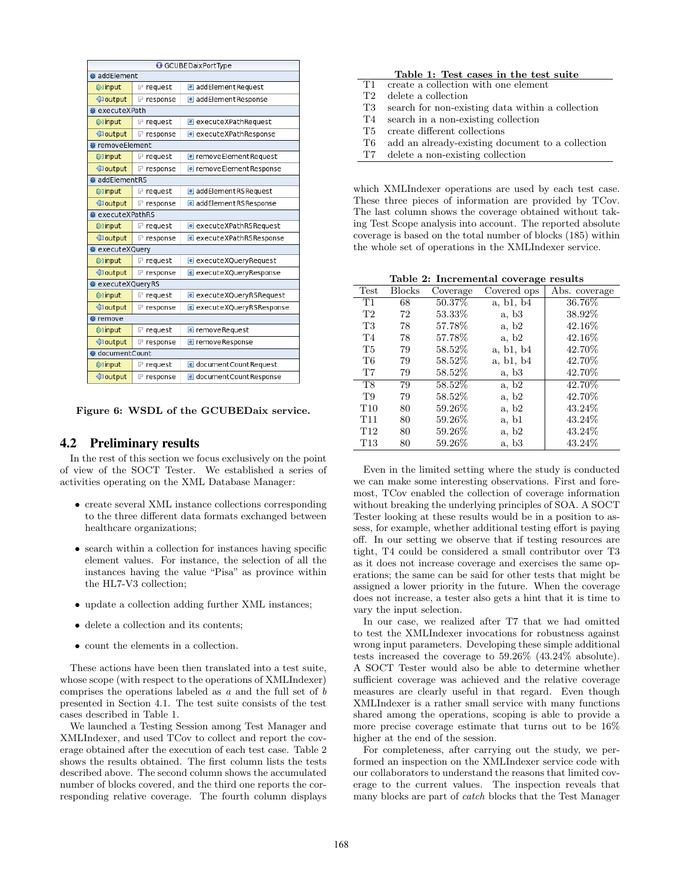|                        | GCUBEDaixPortType |                           |  |  |  |
|------------------------|-------------------|---------------------------|--|--|--|
| · addElement           |                   |                           |  |  |  |
| t) input               | $F$ request       | e addElementRequest       |  |  |  |
| <b>I</b> output        | $F$ response      | e addElementResponse      |  |  |  |
|                        | · executeXPath    |                           |  |  |  |
| <b>Dinput</b>          | $F$ request       | e executeXPathRequest     |  |  |  |
| <b>I</b> output        | $F$ response      | e executeXPathResponse    |  |  |  |
| ※ removeElement        |                   |                           |  |  |  |
| input)                 | $F$ request       | e removeElementRequest    |  |  |  |
| <b>I</b> output        | $F$ response      | e removeElementResponse   |  |  |  |
| addElementRS           |                   |                           |  |  |  |
| $\triangleright$ input | $F$ request       | e addElementRSRequest     |  |  |  |
| <b>I</b> output        | $F$ response      | e addElementRSResponse    |  |  |  |
| ※ executeXPathRS       |                   |                           |  |  |  |
| <b>Dinput</b>          | $F$ request       | e executeXPathRSRequest   |  |  |  |
| <b>I</b> output        | response          | e executeXPathRSResponse  |  |  |  |
| ※ executeXQuery        |                   |                           |  |  |  |
| <b>Dinput</b>          | $F$ request       | e executeXQueryRequest    |  |  |  |
| <b>I</b> output        | $F$ response      | e executeXQueryResponse   |  |  |  |
| ※ executeXQueryRS      |                   |                           |  |  |  |
| $\triangleright$ input | $F$ request       | e executeXQueryRSRequest  |  |  |  |
| <b>I</b> output        | $F$ response      | e executeXQueryRSResponse |  |  |  |
| ※ remove               |                   |                           |  |  |  |
| <b>Dinput</b>          | $F$ request       | e removeRequest           |  |  |  |
| <b>I</b> output        | $F$ response      | e removeResponse          |  |  |  |
| · documentCount        |                   |                           |  |  |  |
| <b>Dinput</b>          | $F$ request       | e document Count Request  |  |  |  |
| <b>I</b> output        | $F$ response      | e documentCountResponse   |  |  |  |

Figure 6: WSDL of the GCUBEDaix service.

## 4.2 Preliminary results

In the rest of this section we focus exclusively on the point of view of the SOCT Tester. We established a series of activities operating on the XML Database Manager:

- create several XML instance collections corresponding to the three different data formats exchanged between healthcare organizations;
- search within a collection for instances having specific element values. For instance, the selection of all the instances having the value "Pisa" as province within the HL7-V3 collection;
- update a collection adding further XML instances;
- delete a collection and its contents:
- count the elements in a collection.

These actions have been then translated into a test suite, whose scope (with respect to the operations of XMLIndexer) comprises the operations labeled as  $a$  and the full set of  $b$ presented in Section 4.1. The test suite consists of the test cases described in Table 1.

We launched a Testing Session among Test Manager and XMLIndexer, and used TCov to collect and report the coverage obtained after the execution of each test case. Table 2 shows the results obtained. The first column lists the tests described above. The second column shows the accumulated number of blocks covered, and the third one reports the corresponding relative coverage. The fourth column displays

|     | Table 1: Test cases in the test suite            |
|-----|--------------------------------------------------|
| T1  | create a collection with one element             |
| T2  | delete a collection                              |
| T3  | search for non-existing data within a collection |
| T4  | search in a non-existing collection              |
| T5. | create different collections                     |
| T6  | add an already-existing document to a collection |
| T7  | delete a non-existing collection                 |

which XMLIndexer operations are used by each test case. These three pieces of information are provided by TCov. The last column shows the coverage obtained without taking Test Scope analysis into account. The reported absolute coverage is based on the total number of blocks (185) within the whole set of operations in the XMLIndexer service.

|  | Table 2: Incremental coverage results |  |  |
|--|---------------------------------------|--|--|
|--|---------------------------------------|--|--|

| Test            | <b>Blocks</b> | Coverage | Covered ops | Abs. coverage |
|-----------------|---------------|----------|-------------|---------------|
| T1              | 68            | 50.37%   | a, b1, b4   | $36.76\%$     |
| T2              | 72            | 53.33%   | a, b3       | 38.92%        |
| T3              | 78            | 57.78%   | a, b2       | 42.16%        |
| T <sub>4</sub>  | 78            | 57.78%   | a, b2       | 42.16\%       |
| T5              | 79            | 58.52%   | a, b1, b4   | 42.70%        |
| T6              | 79            | 58.52\%  | a, b1, b4   | 42.70%        |
| T7              | 79            | 58.52\%  | a, b3       | 42.70\%       |
| <b>T8</b>       | 79            | 58.52%   | a, b2       | $42.70\%$     |
| T9              | 79            | 58.52%   | a, b2       | 42.70%        |
| T10             | 80            | 59.26\%  | a, b2       | 43.24\%       |
| T <sub>11</sub> | 80            | 59.26%   | a, b1       | 43.24%        |
| T <sub>12</sub> | 80            | 59.26%   | a, b2       | 43.24\%       |
| T13             | 80            | 59.26%   | a, b3       | 43.24\%       |

Even in the limited setting where the study is conducted we can make some interesting observations. First and foremost, TCov enabled the collection of coverage information without breaking the underlying principles of SOA. A SOCT Tester looking at these results would be in a position to assess, for example, whether additional testing effort is paying off. In our setting we observe that if testing resources are tight, T4 could be considered a small contributor over T3 as it does not increase coverage and exercises the same operations; the same can be said for other tests that might be assigned a lower priority in the future. When the coverage does not increase, a tester also gets a hint that it is time to vary the input selection.

In our case, we realized after T7 that we had omitted to test the XMLIndexer invocations for robustness against wrong input parameters. Developing these simple additional tests increased the coverage to 59.26% (43.24% absolute). A SOCT Tester would also be able to determine whether sufficient coverage was achieved and the relative coverage measures are clearly useful in that regard. Even though XMLIndexer is a rather small service with many functions shared among the operations, scoping is able to provide a more precise coverage estimate that turns out to be 16% higher at the end of the session.

For completeness, after carrying out the study, we performed an inspection on the XMLIndexer service code with our collaborators to understand the reasons that limited coverage to the current values. The inspection reveals that many blocks are part of catch blocks that the Test Manager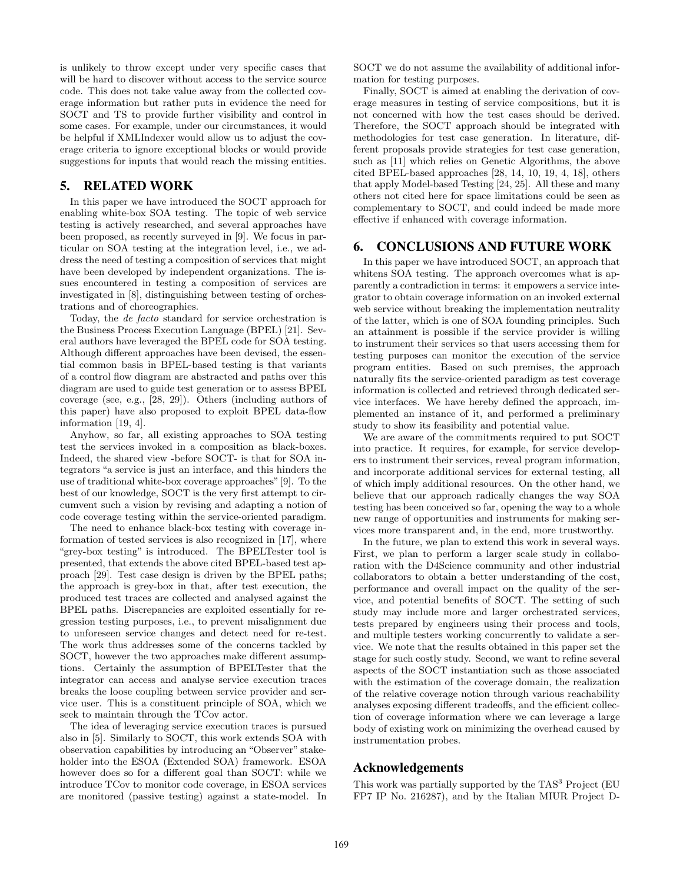is unlikely to throw except under very specific cases that will be hard to discover without access to the service source code. This does not take value away from the collected coverage information but rather puts in evidence the need for SOCT and TS to provide further visibility and control in some cases. For example, under our circumstances, it would be helpful if XMLIndexer would allow us to adjust the coverage criteria to ignore exceptional blocks or would provide suggestions for inputs that would reach the missing entities.

#### 5. RELATED WORK

In this paper we have introduced the SOCT approach for enabling white-box SOA testing. The topic of web service testing is actively researched, and several approaches have been proposed, as recently surveyed in [9]. We focus in particular on SOA testing at the integration level, i.e., we address the need of testing a composition of services that might have been developed by independent organizations. The issues encountered in testing a composition of services are investigated in [8], distinguishing between testing of orchestrations and of choreographies.

Today, the de facto standard for service orchestration is the Business Process Execution Language (BPEL) [21]. Several authors have leveraged the BPEL code for SOA testing. Although different approaches have been devised, the essential common basis in BPEL-based testing is that variants of a control flow diagram are abstracted and paths over this diagram are used to guide test generation or to assess BPEL coverage (see, e.g., [28, 29]). Others (including authors of this paper) have also proposed to exploit BPEL data-flow information [19, 4].

Anyhow, so far, all existing approaches to SOA testing test the services invoked in a composition as black-boxes. Indeed, the shared view -before SOCT- is that for SOA integrators "a service is just an interface, and this hinders the use of traditional white-box coverage approaches"[9]. To the best of our knowledge, SOCT is the very first attempt to circumvent such a vision by revising and adapting a notion of code coverage testing within the service-oriented paradigm.

The need to enhance black-box testing with coverage information of tested services is also recognized in [17], where "grey-box testing" is introduced. The BPELTester tool is presented, that extends the above cited BPEL-based test approach [29]. Test case design is driven by the BPEL paths; the approach is grey-box in that, after test execution, the produced test traces are collected and analysed against the BPEL paths. Discrepancies are exploited essentially for regression testing purposes, i.e., to prevent misalignment due to unforeseen service changes and detect need for re-test. The work thus addresses some of the concerns tackled by SOCT, however the two approaches make different assumptions. Certainly the assumption of BPELTester that the integrator can access and analyse service execution traces breaks the loose coupling between service provider and service user. This is a constituent principle of SOA, which we seek to maintain through the TCov actor.

The idea of leveraging service execution traces is pursued also in [5]. Similarly to SOCT, this work extends SOA with observation capabilities by introducing an "Observer" stakeholder into the ESOA (Extended SOA) framework. ESOA however does so for a different goal than SOCT: while we introduce TCov to monitor code coverage, in ESOA services are monitored (passive testing) against a state-model. In SOCT we do not assume the availability of additional information for testing purposes.

Finally, SOCT is aimed at enabling the derivation of coverage measures in testing of service compositions, but it is not concerned with how the test cases should be derived. Therefore, the SOCT approach should be integrated with methodologies for test case generation. In literature, different proposals provide strategies for test case generation, such as [11] which relies on Genetic Algorithms, the above cited BPEL-based approaches [28, 14, 10, 19, 4, 18], others that apply Model-based Testing [24, 25]. All these and many others not cited here for space limitations could be seen as complementary to SOCT, and could indeed be made more effective if enhanced with coverage information.

### 6. CONCLUSIONS AND FUTURE WORK

In this paper we have introduced SOCT, an approach that whitens SOA testing. The approach overcomes what is apparently a contradiction in terms: it empowers a service integrator to obtain coverage information on an invoked external web service without breaking the implementation neutrality of the latter, which is one of SOA founding principles. Such an attainment is possible if the service provider is willing to instrument their services so that users accessing them for testing purposes can monitor the execution of the service program entities. Based on such premises, the approach naturally fits the service-oriented paradigm as test coverage information is collected and retrieved through dedicated service interfaces. We have hereby defined the approach, implemented an instance of it, and performed a preliminary study to show its feasibility and potential value.

We are aware of the commitments required to put SOCT into practice. It requires, for example, for service developers to instrument their services, reveal program information, and incorporate additional services for external testing, all of which imply additional resources. On the other hand, we believe that our approach radically changes the way SOA testing has been conceived so far, opening the way to a whole new range of opportunities and instruments for making services more transparent and, in the end, more trustworthy.

In the future, we plan to extend this work in several ways. First, we plan to perform a larger scale study in collaboration with the D4Science community and other industrial collaborators to obtain a better understanding of the cost, performance and overall impact on the quality of the service, and potential benefits of SOCT. The setting of such study may include more and larger orchestrated services, tests prepared by engineers using their process and tools, and multiple testers working concurrently to validate a service. We note that the results obtained in this paper set the stage for such costly study. Second, we want to refine several aspects of the SOCT instantiation such as those associated with the estimation of the coverage domain, the realization of the relative coverage notion through various reachability analyses exposing different tradeoffs, and the efficient collection of coverage information where we can leverage a large body of existing work on minimizing the overhead caused by instrumentation probes.

## Acknowledgements

This work was partially supported by the  $\mathrm{TAS}^3$  Project (EU FP7 IP No. 216287), and by the Italian MIUR Project D-